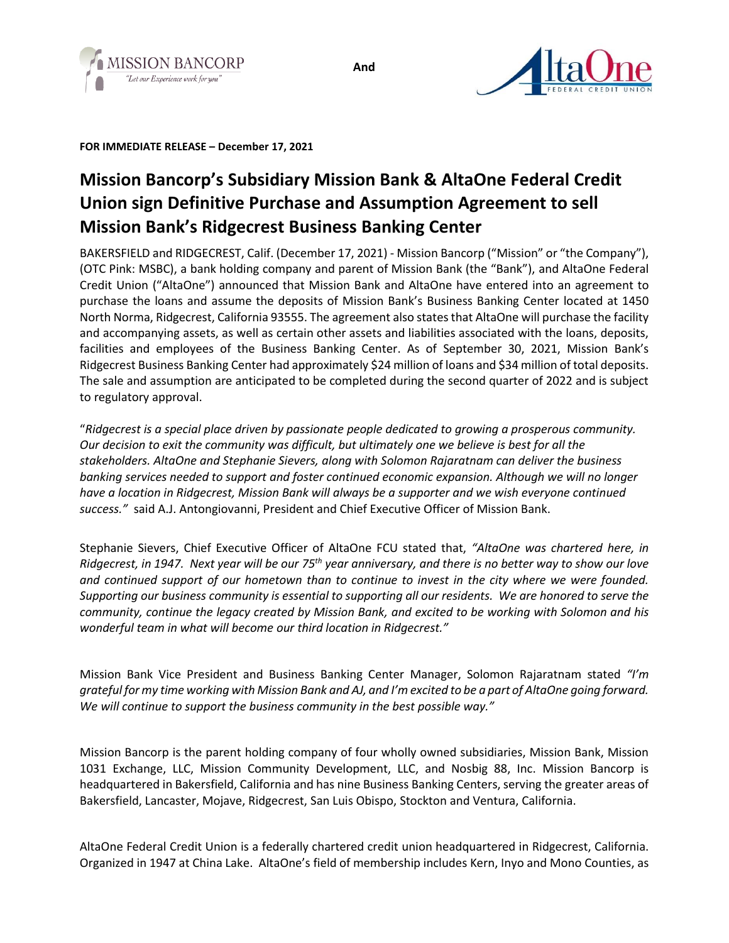

**FOR IMMEDIATE RELEASE – December 17, 2021**

## **Mission Bancorp's Subsidiary Mission Bank & AltaOne Federal Credit Union sign Definitive Purchase and Assumption Agreement to sell Mission Bank's Ridgecrest Business Banking Center**

BAKERSFIELD and RIDGECREST, Calif. (December 17, 2021) - Mission Bancorp ("Mission" or "the Company"), (OTC Pink: MSBC), a bank holding company and parent of Mission Bank (the "Bank"), and AltaOne Federal Credit Union ("AltaOne") announced that Mission Bank and AltaOne have entered into an agreement to purchase the loans and assume the deposits of Mission Bank's Business Banking Center located at 1450 North Norma, Ridgecrest, California 93555. The agreement also states that AltaOne will purchase the facility and accompanying assets, as well as certain other assets and liabilities associated with the loans, deposits, facilities and employees of the Business Banking Center. As of September 30, 2021, Mission Bank's Ridgecrest Business Banking Center had approximately \$24 million of loans and \$34 million of total deposits. The sale and assumption are anticipated to be completed during the second quarter of 2022 and is subject to regulatory approval.

"*Ridgecrest is a special place driven by passionate people dedicated to growing a prosperous community. Our decision to exit the community was difficult, but ultimately one we believe is best for all the stakeholders. AltaOne and Stephanie Sievers, along with Solomon Rajaratnam can deliver the business banking services needed to support and foster continued economic expansion. Although we will no longer have a location in Ridgecrest, Mission Bank will always be a supporter and we wish everyone continued success."* said A.J. Antongiovanni, President and Chief Executive Officer of Mission Bank.

Stephanie Sievers, Chief Executive Officer of AltaOne FCU stated that, *"AltaOne was chartered here, in Ridgecrest, in 1947. Next year will be our 75th year anniversary, and there is no better way to show our love and continued support of our hometown than to continue to invest in the city where we were founded. Supporting our business community is essential to supporting all our residents. We are honored to serve the community, continue the legacy created by Mission Bank, and excited to be working with Solomon and his wonderful team in what will become our third location in Ridgecrest."* 

Mission Bank Vice President and Business Banking Center Manager, Solomon Rajaratnam stated *"I'm grateful for my time working with Mission Bank and AJ, and I'm excited to be a part of AltaOne going forward. We will continue to support the business community in the best possible way."* 

Mission Bancorp is the parent holding company of four wholly owned subsidiaries, Mission Bank, Mission 1031 Exchange, LLC, Mission Community Development, LLC, and Nosbig 88, Inc. Mission Bancorp is headquartered in Bakersfield, California and has nine Business Banking Centers, serving the greater areas of Bakersfield, Lancaster, Mojave, Ridgecrest, San Luis Obispo, Stockton and Ventura, California.

AltaOne Federal Credit Union is a federally chartered credit union headquartered in Ridgecrest, California. Organized in 1947 at China Lake. AltaOne's field of membership includes Kern, Inyo and Mono Counties, as

**And**